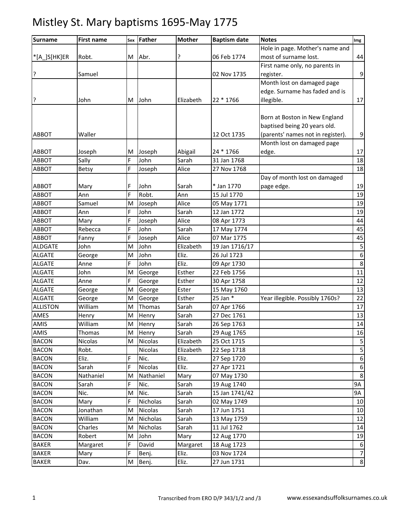| <b>Surname</b>               | <b>First name</b>        | Sex | Father                  | <b>Mother</b>          | <b>Baptism date</b>        | <b>Notes</b>                      | Img              |
|------------------------------|--------------------------|-----|-------------------------|------------------------|----------------------------|-----------------------------------|------------------|
|                              |                          |     |                         |                        |                            | Hole in page. Mother's name and   |                  |
| *[A_]S[HK]ER                 | Robt.                    | M   | Abr.                    | ?                      | 06 Feb 1774                | most of surname lost.             | 44               |
|                              |                          |     |                         |                        |                            | First name only, no parents in    |                  |
| ŗ                            | Samuel                   |     |                         |                        | 02 Nov 1735                | register.                         | 9                |
|                              |                          |     |                         |                        |                            | Month lost on damaged page        |                  |
|                              |                          |     |                         |                        |                            | edge. Surname has faded and is    |                  |
| ŗ                            | John                     | M   | John                    | Elizabeth              | 22 * 1766                  | illegible.                        | 17               |
|                              |                          |     |                         |                        |                            |                                   |                  |
|                              |                          |     |                         |                        |                            | Born at Boston in New England     |                  |
|                              |                          |     |                         |                        |                            | baptised being 20 years old.      |                  |
| <b>ABBOT</b>                 | Waller                   |     |                         |                        | 12 Oct 1735                | (parents' names not in register). | 9                |
|                              |                          |     |                         |                        |                            | Month lost on damaged page        |                  |
| <b>ABBOT</b>                 | Joseph                   | M   | Joseph                  | Abigail                | 24 * 1766                  | edge.                             | 17               |
| ABBOT                        | Sally                    | F   | John                    | Sarah                  | 31 Jan 1768                |                                   | 18               |
| ABBOT                        | Betsy                    | F   | Joseph                  | Alice                  | 27 Nov 1768                |                                   | 18               |
|                              |                          |     |                         |                        |                            | Day of month lost on damaged      |                  |
| ABBOT                        | Mary                     | F   | John                    | Sarah                  | * Jan 1770                 | page edge.                        | 19               |
| <b>ABBOT</b>                 | Ann                      | F   | Robt.                   | Ann                    | 15 Jul 1770                |                                   | 19               |
| ABBOT                        | Samuel                   | M   | Joseph                  | Alice                  | 05 May 1771                |                                   | 19               |
| ABBOT                        | Ann                      | F   | John                    | Sarah                  | 12 Jan 1772                |                                   | 19               |
| ABBOT                        | Mary                     | Ė   | Joseph                  | Alice                  | 08 Apr 1773                |                                   | 44               |
| ABBOT                        | Rebecca                  | F   | John                    | Sarah                  | 17 May 1774                |                                   | 45               |
| ABBOT                        | Fanny                    | F   | Joseph                  | Alice                  | 07 Mar 1775                |                                   | 45               |
| <b>ALDGATE</b>               | John                     | M   | John                    | Elizabeth              | 19 Jan 1716/17             |                                   | 5                |
| <b>ALGATE</b>                | George                   | M   | John                    | Eliz.                  | 26 Jul 1723                |                                   | $\boldsymbol{6}$ |
| <b>ALGATE</b>                | Anne                     | Ė   | John                    | Eliz.                  | 09 Apr 1730                |                                   | 8                |
| <b>ALGATE</b>                | John                     | M   | George                  | Esther                 | 22 Feb 1756                |                                   | 11               |
| <b>ALGATE</b>                | Anne                     | F   | George                  | Esther                 | 30 Apr 1758                |                                   | 12               |
| <b>ALGATE</b>                | George                   | M   | George                  | Ester                  | 15 May 1760                |                                   | 13               |
| <b>ALGATE</b>                | George                   | M   | George                  | Esther                 | 25 Jan *                   | Year illegible. Possibly 1760s?   | 22               |
| <b>ALLISTON</b>              | William                  | M   | Thomas                  | Sarah                  | 07 Apr 1766                |                                   | 17               |
| AMES                         | Henry                    | M   | Henry                   | Sarah                  | 27 Dec 1761                |                                   | 13               |
| <b>AMIS</b>                  | William                  | M   | Henry                   | Sarah                  | 26 Sep 1763                |                                   | 14               |
| AMIS                         | <b>Thomas</b><br>Nicolas | M   | Henry<br><b>Nicolas</b> | Sarah                  | 29 Aug 1765                |                                   | 16               |
| <b>BACON</b><br><b>BACON</b> | Robt.                    | M   | Nicolas                 | Elizabeth<br>Elizabeth | 25 Oct 1715<br>22 Sep 1718 |                                   | 5<br>$\mathsf S$ |
| <b>BACON</b>                 | Eliz.                    | F   | Nic.                    | Eliz.                  | 27 Sep 1720                |                                   | $\boldsymbol{6}$ |
| <b>BACON</b>                 | Sarah                    | F   | Nicolas                 | Eliz.                  | 27 Apr 1721                |                                   | 6                |
| <b>BACON</b>                 | Nathaniel                | M   | Nathaniel               | Mary                   | 07 May 1730                |                                   | $\,8\,$          |
| <b>BACON</b>                 | Sarah                    | F.  | Nic.                    | Sarah                  | 19 Aug 1740                |                                   | <b>9A</b>        |
| <b>BACON</b>                 | Nic.                     | M   | Nic.                    | Sarah                  | 15 Jan 1741/42             |                                   | 9A               |
| <b>BACON</b>                 | Mary                     | F   | Nicholas                | Sarah                  | 02 May 1749                |                                   | 10               |
| <b>BACON</b>                 | Jonathan                 | M   | Nicolas                 | Sarah                  | 17 Jun 1751                |                                   | 10               |
| <b>BACON</b>                 | William                  | M   | Nicholas                | Sarah                  | 13 May 1759                |                                   | 12               |
| <b>BACON</b>                 | Charles                  | M   | Nicholas                | Sarah                  | 11 Jul 1762                |                                   | 14               |
| <b>BACON</b>                 | Robert                   | M   | John                    | Mary                   | 12 Aug 1770                |                                   | 19               |
| <b>BAKER</b>                 | Margaret                 | F   | David                   | Margaret               | 18 Aug 1723                |                                   | $6\phantom{1}6$  |
| <b>BAKER</b>                 | Mary                     | F   | Benj.                   | Eliz.                  | 03 Nov 1724                |                                   | $\overline{7}$   |
| <b>BAKER</b>                 | Dav.                     | M   | Benj.                   | Eliz.                  | 27 Jun 1731                |                                   | 8                |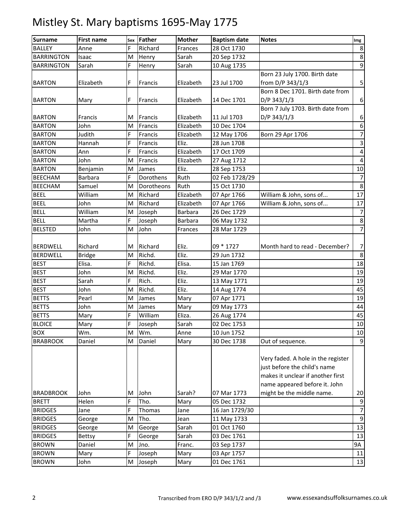| <b>Surname</b>    | <b>First name</b> | Sex | Father     | <b>Mother</b> | <b>Baptism date</b> | <b>Notes</b>                                                                                            | Img                      |
|-------------------|-------------------|-----|------------|---------------|---------------------|---------------------------------------------------------------------------------------------------------|--------------------------|
| <b>BALLEY</b>     | Anne              | F   | Richard    | Frances       | 28 Oct 1730         |                                                                                                         | 8                        |
| <b>BARRINGTON</b> | Isaac             | M   | Henry      | Sarah         | 20 Sep 1732         |                                                                                                         | $\bf 8$                  |
| <b>BARRINGTON</b> | Sarah             | F   | Henry      | Sarah         | 10 Aug 1735         |                                                                                                         | $\boldsymbol{9}$         |
|                   |                   |     |            |               |                     | Born 23 July 1700. Birth date                                                                           |                          |
| <b>BARTON</b>     | Elizabeth         | F   | Francis    | Elizabeth     | 23 Jul 1700         | from D/P 343/1/3                                                                                        | 5                        |
|                   |                   |     |            |               |                     | Born 8 Dec 1701. Birth date from                                                                        |                          |
| <b>BARTON</b>     | Mary              | F   | Francis    | Elizabeth     | 14 Dec 1701         | D/P 343/1/3                                                                                             | 6                        |
|                   |                   |     |            |               |                     | Born 7 July 1703. Birth date from                                                                       |                          |
| <b>BARTON</b>     | Francis           | M   | Francis    | Elizabeth     | 11 Jul 1703         | D/P 343/1/3                                                                                             | 6                        |
| <b>BARTON</b>     | John              | M   | Francis    | Elizabeth     | 10 Dec 1704         |                                                                                                         | $\boldsymbol{6}$         |
| <b>BARTON</b>     | Judith            | F   | Francis    | Elizabeth     | 12 May 1706         | Born 29 Apr 1706                                                                                        | $\overline{\mathcal{I}}$ |
| <b>BARTON</b>     | Hannah            | F   | Francis    | Eliz.         | 28 Jun 1708         |                                                                                                         | $\mathsf 3$              |
| <b>BARTON</b>     | Ann               | F   | Francis    | Elizabeth     | 17 Oct 1709         |                                                                                                         | 4                        |
| <b>BARTON</b>     | John              | M   | Francis    | Elizabeth     | 27 Aug 1712         |                                                                                                         | 4                        |
| <b>BARTON</b>     | Benjamin          | M   | James      | Eliz.         | 28 Sep 1753         |                                                                                                         | 10                       |
| <b>BEECHAM</b>    | <b>Barbara</b>    | F   | Dorothens  | Ruth          | 02 Feb 1728/29      |                                                                                                         | $\overline{7}$           |
| <b>BEECHAM</b>    | Samuel            | M   | Dorotheons | Ruth          | 15 Oct 1730         |                                                                                                         | $\,8\,$                  |
| <b>BEEL</b>       | William           | M   | Richard    | Elizabeth     | 07 Apr 1766         | William & John, sons of                                                                                 | 17                       |
| <b>BEEL</b>       | John              | M   | Richard    | Elizabeth     | 07 Apr 1766         | William & John, sons of                                                                                 | 17                       |
| <b>BELL</b>       | William           | M   | Joseph     | Barbara       | 26 Dec 1729         |                                                                                                         | 7                        |
| <b>BELL</b>       | Martha            | F   | Joseph     | Barbara       | 06 May 1732         |                                                                                                         | 8                        |
| <b>BELSTED</b>    | John              | M   | John       | Frances       | 28 Mar 1729         |                                                                                                         | $\overline{7}$           |
|                   |                   |     |            |               |                     |                                                                                                         |                          |
| <b>BERDWELL</b>   | Richard           | M   | Richard    | Eliz.         | 09 * 1727           | Month hard to read - December?                                                                          | $\overline{7}$           |
| <b>BERDWELL</b>   | <b>Bridge</b>     | M   | Richd.     | Eliz.         | 29 Jun 1732         |                                                                                                         | $\bf 8$                  |
| <b>BEST</b>       | Elisa.            | F   | Richd.     | Elisa.        | 15 Jan 1769         |                                                                                                         | 18                       |
| <b>BEST</b>       | John              | M   | Richd.     | Eliz.         | 29 Mar 1770         |                                                                                                         | 19                       |
| <b>BEST</b>       | Sarah             | F   | Rich.      | Eliz.         | 13 May 1771         |                                                                                                         | 19                       |
| <b>BEST</b>       | John              | M   | Richd.     | Eliz.         | 14 Aug 1774         |                                                                                                         | 45                       |
| <b>BETTS</b>      | Pearl             | M   | James      | Mary          | 07 Apr 1771         |                                                                                                         | 19                       |
| <b>BETTS</b>      | John              | M   | James      | Mary          | 09 May 1773         |                                                                                                         | 44                       |
| <b>BETTS</b>      | Mary              | F.  | William    | Eliza.        | 26 Aug 1774         |                                                                                                         | 45                       |
| <b>BLOICE</b>     | Mary              | F   | Joseph     | Sarah         | 02 Dec 1753         |                                                                                                         | 10                       |
| <b>BOX</b>        | Wm.               | M   | Wm.        | Anne          | 10 Jun 1752         |                                                                                                         | 10                       |
| <b>BRABROOK</b>   | Daniel            | M   | Daniel     | Mary          | 30 Dec 1738         | Out of sequence.                                                                                        | $9\,$                    |
|                   |                   |     |            |               |                     | Very faded. A hole in the register<br>just before the child's name<br>makes it unclear if another first |                          |
|                   |                   |     |            |               |                     | name appeared before it. John                                                                           |                          |
| <b>BRADBROOK</b>  | John              | M   | John       | Sarah?        | 07 Mar 1773         | might be the middle name.                                                                               | 20                       |
| <b>BRETT</b>      | Helen             | F.  | Tho.       | Mary          | 05 Dec 1732         |                                                                                                         | $\boldsymbol{9}$         |
| <b>BRIDGES</b>    | Jane              | F   | Thomas     | Jane          | 16 Jan 1729/30      |                                                                                                         | $\overline{\mathcal{I}}$ |
| <b>BRIDGES</b>    | George            | M   | Tho.       | Jean          | 11 May 1733         |                                                                                                         | $9\,$                    |
| <b>BRIDGES</b>    | George            | M   | George     | Sarah         | 01 Oct 1760         |                                                                                                         | 13                       |
| <b>BRIDGES</b>    | <b>Bettsy</b>     | F   | George     | Sarah         | 03 Dec 1761         |                                                                                                         | 13                       |
| <b>BROWN</b>      | Daniel            | M   | Jno.       | Franc.        | 03 Sep 1737         |                                                                                                         | 9A                       |
| <b>BROWN</b>      | Mary              | F   | Joseph     | Mary          | 03 Apr 1757         |                                                                                                         | 11                       |
| <b>BROWN</b>      | John              | M   | Joseph     | Mary          | 01 Dec 1761         |                                                                                                         | 13                       |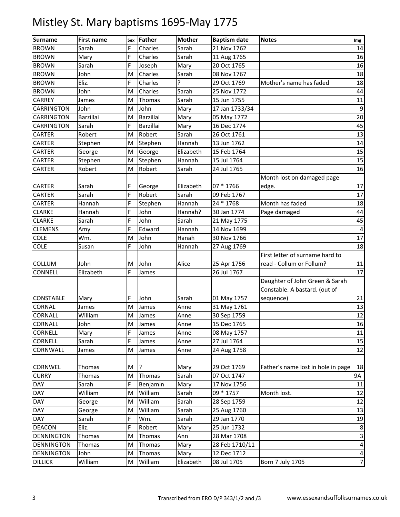| <b>Surname</b>    | <b>First name</b> | Sex | Father    | <b>Mother</b> | <b>Baptism date</b> | <b>Notes</b>                       | Img            |
|-------------------|-------------------|-----|-----------|---------------|---------------------|------------------------------------|----------------|
| <b>BROWN</b>      | Sarah             | F   | Charles   | Sarah         | 21 Nov 1762         |                                    | 14             |
| <b>BROWN</b>      | Mary              | F   | Charles   | Sarah         | 11 Aug 1765         |                                    | 16             |
| <b>BROWN</b>      | Sarah             | F   | Joseph    | Mary          | 20 Oct 1765         |                                    | 16             |
| <b>BROWN</b>      | John              | M   | Charles   | Sarah         | 08 Nov 1767         |                                    | 18             |
| <b>BROWN</b>      | Eliz.             | F   | Charles   | ς             | 29 Oct 1769         | Mother's name has faded            | 18             |
| <b>BROWN</b>      | John              | M   | Charles   | Sarah         | 25 Nov 1772         |                                    | 44             |
| <b>CARREY</b>     | James             | M   | Thomas    | Sarah         | 15 Jun 1755         |                                    | 11             |
| CARRINGTON        | John              | M   | John      | Mary          | 17 Jan 1733/34      |                                    | 9              |
| <b>CARRINGTON</b> | Barzillai         | M   | Barzillai | Mary          | 05 May 1772         |                                    | 20             |
| <b>CARRINGTON</b> | Sarah             | F   | Barzillai | Mary          | 16 Dec 1774         |                                    | 45             |
| CARTER            | Robert            | M   | Robert    | Sarah         | 26 Oct 1761         |                                    | 13             |
| <b>CARTER</b>     | Stephen           | M   | Stephen   | Hannah        | 13 Jun 1762         |                                    | 14             |
| CARTER            | George            | M   | George    | Elizabeth     | 15 Feb 1764         |                                    | 15             |
| <b>CARTER</b>     | Stephen           | M   | Stephen   | Hannah        | 15 Jul 1764         |                                    | 15             |
| <b>CARTER</b>     | Robert            | M   | Robert    | Sarah         | 24 Jul 1765         |                                    | 16             |
|                   |                   |     |           |               |                     | Month lost on damaged page         |                |
| <b>CARTER</b>     | Sarah             | F   | George    | Elizabeth     | 07 * 1766           | edge.                              | 17             |
| <b>CARTER</b>     | Sarah             | F   | Robert    | Sarah         | 09 Feb 1767         |                                    | 17             |
| <b>CARTER</b>     | Hannah            | F   | Stephen   | Hannah        | 24 * 1768           | Month has faded                    | 18             |
| <b>CLARKE</b>     | Hannah            | F   | John      | Hannah?       | 30 Jan 1774         | Page damaged                       | 44             |
| <b>CLARKE</b>     | Sarah             | F   | John      | Sarah         | 21 May 1775         |                                    | 45             |
| <b>CLEMENS</b>    | Amy               | F   | Edward    | Hannah        | 14 Nov 1699         |                                    | 4              |
| <b>COLE</b>       | Wm.               | M   | John      | Hanah         | 30 Nov 1766         |                                    | 17             |
| <b>COLE</b>       | Susan             | F   | John      | Hannah        | 27 Aug 1769         |                                    | 18             |
|                   |                   |     |           |               |                     | First letter of surname hard to    |                |
| COLLUM            | John              | M   | John      | Alice         | 25 Apr 1756         | read - Collum or Follum?           | 11             |
| CONNELL           | Elizabeth         | F   | James     |               | 26 Jul 1767         |                                    | 17             |
|                   |                   |     |           |               |                     | Daughter of John Green & Sarah     |                |
|                   |                   |     |           |               |                     | Constable. A bastard. (out of      |                |
| <b>CONSTABLE</b>  | Mary              | F   | John      | Sarah         | 01 May 1757         | sequence)                          | 21             |
| <b>CORNAL</b>     | James             | M   | James     | Anne          | 31 May 1761         |                                    | 13             |
| CORNALL           | William           | M   | James     | Anne          | 30 Sep 1759         |                                    | 12             |
| <b>CORNALL</b>    | John              | M   | James     | Anne          | 15 Dec 1765         |                                    | 16             |
| <b>CORNELL</b>    | Mary              | F   | James     | Anne          | 08 May 1757         |                                    | 11             |
| CORNELL           | Sarah             | F   | James     | Anne          | 27 Jul 1764         |                                    | 15             |
| CORNWALL          | James             | M   | James     | Anne          | 24 Aug 1758         |                                    | 12             |
|                   |                   |     |           |               |                     |                                    |                |
| CORNWEL           | Thomas            | М   | 3         | Mary          | 29 Oct 1769         | Father's name lost in hole in page | 18             |
| <b>CURRY</b>      | Thomas            | M   | Thomas    | Sarah         | 07 Oct 1747         |                                    | 9А             |
| DAY               | Sarah             | F   | Benjamin  | Mary          | 17 Nov 1756         |                                    | 11             |
| <b>DAY</b>        | William           | M   | William   | Sarah         | 09 * 1757           | Month lost.                        | 12             |
| <b>DAY</b>        | George            | M   | William   | Sarah         | 28 Sep 1759         |                                    | 12             |
| DAY               | George            | M   | William   | Sarah         | 25 Aug 1760         |                                    | 13             |
| DAY               | Sarah             | F   | Wm.       | Sarah         | 29 Jan 1770         |                                    | 19             |
| <b>DEACON</b>     | Eliz.             | F   | Robert    | Mary          | 25 Jun 1732         |                                    | $\,8\,$        |
| <b>DENNINGTON</b> | Thomas            | M   | Thomas    | Ann           | 28 Mar 1708         |                                    | $\mathsf 3$    |
| <b>DENNINGTON</b> | <b>Thomas</b>     | M   | Thomas    | Mary          | 28 Feb 1710/11      |                                    | 4              |
| <b>DENNINGTON</b> | John              | M   | Thomas    | Mary          | 12 Dec 1712         |                                    | 4              |
| <b>DILLICK</b>    | William           | M   | William   | Elizabeth     | 08 Jul 1705         | <b>Born 7 July 1705</b>            | $\overline{7}$ |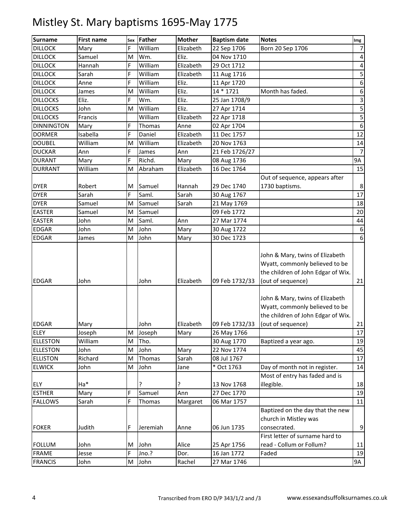| <b>Notes</b>                                                                                                                                                                                |                           |
|---------------------------------------------------------------------------------------------------------------------------------------------------------------------------------------------|---------------------------|
| <b>Surname</b><br>Father<br><b>Mother</b><br><b>First name</b><br><b>Baptism date</b><br>Sex<br>Born 20 Sep 1706<br>F<br>William<br><b>DILLOCK</b><br>Elizabeth                             | Img<br>$\overline{7}$     |
| 22 Sep 1706<br>Mary                                                                                                                                                                         |                           |
| Wm.<br>04 Nov 1710<br><b>DILLOCK</b><br>Samuel<br>M<br>Eliz.                                                                                                                                | 4                         |
| William<br><b>DILLOCK</b><br>F<br>Elizabeth<br>29 Oct 1712<br>Hannah                                                                                                                        | $\pmb{4}$                 |
| F<br>William<br><b>DILLOCK</b><br>Sarah<br>Elizabeth<br>11 Aug 1716                                                                                                                         | 5                         |
| William<br><b>DILLOCK</b><br>F<br>Eliz.<br>Anne<br>11 Apr 1720                                                                                                                              | $\boldsymbol{6}$          |
| 14 * 1721<br>Month has faded.<br><b>DILLOCK</b><br>William<br>Eliz.<br>James<br>M                                                                                                           | $\boldsymbol{6}$          |
| Eliz.<br>F.<br>Wm.<br>Eliz.<br><b>DILLOCKS</b><br>25 Jan 1708/9                                                                                                                             | $\ensuremath{\mathsf{3}}$ |
| William<br><b>DILLOCKS</b><br>John<br>Eliz.<br>27 Apr 1714<br>M                                                                                                                             | $\overline{\mathbf{5}}$   |
| William<br>Elizabeth<br><b>DILLOCKS</b><br>Francis<br>22 Apr 1718                                                                                                                           | 5                         |
| <b>DINNINGTON</b><br>F.<br>Thomas<br>02 Apr 1704<br>Mary<br>Anne                                                                                                                            | $\boldsymbol{6}$          |
| F<br><b>DORMER</b><br>Isabella<br>Daniel<br>Elizabeth<br>11 Dec 1757                                                                                                                        | 12                        |
| William<br>William<br><b>DOUBEL</b><br>M<br>Elizabeth<br>20 Nov 1763                                                                                                                        | 14                        |
| F<br><b>DUCKAR</b><br>21 Feb 1726/27<br>Ann<br>James<br>Ann                                                                                                                                 | $\overline{7}$            |
| F<br>Richd.<br><b>DURANT</b><br>08 Aug 1736<br>Mary<br>Mary                                                                                                                                 | <b>9A</b>                 |
| William<br><b>DURRANT</b><br>Abraham<br>Elizabeth<br>16 Dec 1764<br>M                                                                                                                       | 15                        |
| Out of sequence, appears after                                                                                                                                                              |                           |
| 1730 baptisms.<br><b>DYER</b><br>Robert<br>Samuel<br>29 Dec 1740<br>M<br>Hannah                                                                                                             | 8                         |
| F<br><b>DYER</b><br>Saml.<br>Sarah<br>Sarah<br>30 Aug 1767                                                                                                                                  | 17                        |
| <b>DYER</b><br>M<br>Samuel<br>Samuel<br>Sarah<br>21 May 1769                                                                                                                                | 18                        |
| <b>EASTER</b><br>Samuel<br>Samuel<br>09 Feb 1772<br>M                                                                                                                                       | 20                        |
| <b>EASTER</b><br>Saml.<br>27 Mar 1774<br>John<br>M<br>Ann                                                                                                                                   | 44                        |
| <b>EDGAR</b><br>John<br>John<br>M<br>Mary<br>30 Aug 1722                                                                                                                                    | $\boldsymbol{6}$          |
| <b>EDGAR</b><br>John<br>M<br>30 Dec 1723<br>Mary<br>James                                                                                                                                   | $\boldsymbol{6}$          |
| John & Mary, twins of Elizabeth<br>Wyatt, commonly believed to be<br>the children of John Edgar of Wix.<br>(out of sequence)<br><b>EDGAR</b><br>John<br>John<br>Elizabeth<br>09 Feb 1732/33 | 21                        |
| John & Mary, twins of Elizabeth<br>Wyatt, commonly believed to be<br>the children of John Edgar of Wix.<br>(out of sequence)<br><b>EDGAR</b><br>Elizabeth<br>09 Feb 1732/33<br>John<br>Mary | 21                        |
| <b>ELEY</b><br>Joseph<br>M<br>Joseph<br>Mary<br>26 May 1766                                                                                                                                 | 17                        |
| <b>ELLESTON</b><br>William<br>Tho.<br>M<br>30 Aug 1770<br>Baptized a year ago.                                                                                                              | 19                        |
| John<br><b>ELLESTON</b><br>John<br>22 Nov 1774<br>M<br>Mary                                                                                                                                 | 45                        |
| Richard<br>Sarah<br>08 Jul 1767<br><b>ELLISTON</b><br>M<br>Thomas                                                                                                                           | 17                        |
| * Oct 1763<br>Day of month not in register.<br><b>ELWICK</b><br>John<br>M<br>John<br>Jane                                                                                                   | 14                        |
| Most of entry has faded and is                                                                                                                                                              |                           |
| Ha*<br>ŗ<br>?<br>13 Nov 1768<br>illegible.<br>ELY                                                                                                                                           | 18                        |
| F<br>Samuel<br>27 Dec 1770<br><b>ESTHER</b><br>Ann<br>Mary                                                                                                                                  | 19                        |
| Sarah<br>F.<br>06 Mar 1757<br><b>FALLOWS</b><br>Thomas<br>Margaret                                                                                                                          | 11                        |
| Baptized on the day that the new<br>church in Mistley was                                                                                                                                   |                           |
| consecrated.<br>Judith<br><b>FOKER</b><br>F<br>Jeremiah<br>06 Jun 1735<br>Anne                                                                                                              | $\boldsymbol{9}$          |
| First letter of surname hard to                                                                                                                                                             |                           |
| John<br>read - Collum or Follum?<br><b>FOLLUM</b><br>John<br>Alice<br>25 Apr 1756<br>M                                                                                                      | $11\,$                    |
| F<br>Jno.?<br>16 Jan 1772<br><b>FRAME</b><br>Faded<br>Dor.<br>Jesse                                                                                                                         | 19                        |
| <b>FRANCIS</b><br>M<br>John<br>Rachel<br>27 Mar 1746<br>John                                                                                                                                | 9A                        |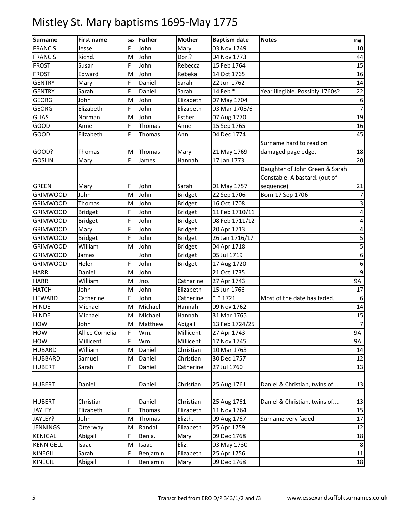| <b>Surname</b>   | <b>First name</b> | Sex | Father   | <b>Mother</b>  | <b>Baptism date</b> | <b>Notes</b>                    | Img              |
|------------------|-------------------|-----|----------|----------------|---------------------|---------------------------------|------------------|
| <b>FRANCIS</b>   | Jesse             | F   | John     | Mary           | 03 Nov 1749         |                                 | 10               |
| <b>FRANCIS</b>   | Richd.            | M   | John     | Dor.?          | 04 Nov 1773         |                                 | 44               |
| <b>FROST</b>     | Susan             | F   | John     | Rebecca        | 15 Feb 1764         |                                 | 15               |
| <b>FROST</b>     | Edward            | M   | John     | Rebeka         | 14 Oct 1765         |                                 | 16               |
| <b>GENTRY</b>    | Mary              | F   | Daniel   | Sarah          | 22 Jun 1762         |                                 | 14               |
| <b>GENTRY</b>    | Sarah             | F   | Daniel   | Sarah          | 14 Feb *            | Year illegible. Possibly 1760s? | 22               |
| <b>GEORG</b>     | John              | M   | John     | Elizabeth      | 07 May 1704         |                                 | 6                |
| <b>GEORG</b>     | Elizabeth         | F.  | John     | Elizabeth      | 03 Mar 1705/6       |                                 | $\overline{7}$   |
| <b>GLIAS</b>     | Norman            | M   | John     | Esther         | 07 Aug 1770         |                                 | 19               |
| GOOD             | Anne              | F   | Thomas   | Anne           | 15 Sep 1765         |                                 | 16               |
| GOOD             | Elizabeth         | F   | Thomas   | Ann            | 04 Dec 1774         |                                 | 45               |
|                  |                   |     |          |                |                     | Surname hard to read on         |                  |
| GOOD?            | Thomas            | M   | Thomas   | Mary           | 21 May 1769         | damaged page edge.              | 18               |
| <b>GOSLIN</b>    | Mary              | F   | James    | Hannah         | 17 Jan 1773         |                                 | 20               |
|                  |                   |     |          |                |                     | Daughter of John Green & Sarah  |                  |
|                  |                   |     |          |                |                     | Constable. A bastard. (out of   |                  |
| <b>GREEN</b>     | Mary              | F   | John     | Sarah          | 01 May 1757         | sequence)                       | 21               |
| <b>GRIMWOOD</b>  | John              | M   | John     | <b>Bridget</b> | 22 Sep 1706         | Born 17 Sep 1706                | 7                |
| <b>GRIMWOOD</b>  | Thomas            | M   | John     | <b>Bridget</b> | 16 Oct 1708         |                                 | 3                |
| <b>GRIMWOOD</b>  | <b>Bridget</b>    | F   | John     | <b>Bridget</b> | 11 Feb 1710/11      |                                 | 4                |
| <b>GRIMWOOD</b>  | <b>Bridget</b>    | F   | John     | <b>Bridget</b> | 08 Feb 1711/12      |                                 | 4                |
| <b>GRIMWOOD</b>  | Mary              | F   | John     | <b>Bridget</b> | 20 Apr 1713         |                                 | 4                |
| <b>GRIMWOOD</b>  | <b>Bridget</b>    | F   | John     | <b>Bridget</b> | 26 Jan 1716/17      |                                 | 5                |
| <b>GRIMWOOD</b>  | William           | M   | John     | <b>Bridget</b> | 04 Apr 1718         |                                 | 5                |
| <b>GRIMWOOD</b>  | James             |     | John     | <b>Bridget</b> | 05 Jul 1719         |                                 | $\boldsymbol{6}$ |
| <b>GRIMWOOD</b>  | Helen             | F   | John     | <b>Bridget</b> | 17 Aug 1720         |                                 | $\boldsymbol{6}$ |
| <b>HARR</b>      | Daniel            | M   | John     |                | 21 Oct 1735         |                                 | 9                |
| <b>HARR</b>      | William           | M   | Jno.     | Catharine      | 27 Apr 1743         |                                 | <b>9A</b>        |
| <b>HATCH</b>     | John              | M   | John     | Elizabeth      | 15 Jun 1766         |                                 | 17               |
| <b>HEWARD</b>    | Catherine         | F   | John     | Catherine      | $* * 1721$          | Most of the date has faded.     | 6                |
| <b>HINDE</b>     | Michael           | M   | Michael  | Hannah         | 09 Nov 1762         |                                 | 14               |
| <b>HINDE</b>     | Michael           | M   | Michael  | Hannah         | 31 Mar 1765         |                                 | 15               |
| <b>HOW</b>       | John              | M   | Matthew  | Abigail        | 13 Feb 1724/25      |                                 | $\overline{7}$   |
| <b>HOW</b>       | Allice Cornelia   | F   | Wm.      | Millicent      | 27 Apr 1743         |                                 | 9A               |
| HOW              | Millicent         | F   | Wm.      | Millicent      | 17 Nov 1745         |                                 | 9A               |
| <b>HUBARD</b>    | William           | M   | Daniel   | Christian      | 10 Mar 1763         |                                 | 14               |
| <b>HUBBARD</b>   | Samuel            | M   | Daniel   | Christian      | 30 Dec 1757         |                                 | 12               |
| <b>HUBERT</b>    | Sarah             | F.  | Daniel   | Catherine      | 27 Jul 1760         |                                 | 13               |
| <b>HUBERT</b>    | Daniel            |     | Daniel   | Christian      | 25 Aug 1761         | Daniel & Christian, twins of    | 13               |
| <b>HUBERT</b>    | Christian         |     | Daniel   | Christian      | 25 Aug 1761         | Daniel & Christian, twins of    | 13               |
| JAYLEY           | Elizabeth         | F   | Thomas   | Elizabeth      | 11 Nov 1764         |                                 | 15               |
| JAYLEY?          | John              | M   | Thomas   | Elizth.        | 09 Aug 1767         | Surname very faded              | 17               |
| <b>JENNINGS</b>  | Otterway          | M   | Randal   | Elizabeth      | 25 Apr 1759         |                                 | 12               |
| <b>KENIGAL</b>   | Abigail           | F   | Benja.   | Mary           | 09 Dec 1768         |                                 | 18               |
| <b>KENNIGELL</b> | Isaac             | M   | Isaac    | Eliz.          | 03 May 1730         |                                 | 8                |
| <b>KINEGIL</b>   | Sarah             | F   | Benjamin | Elizabeth      | 25 Apr 1756         |                                 | $11\,$           |
| <b>KINEGIL</b>   | Abigail           | F.  | Benjamin | Mary           | 09 Dec 1768         |                                 | 18               |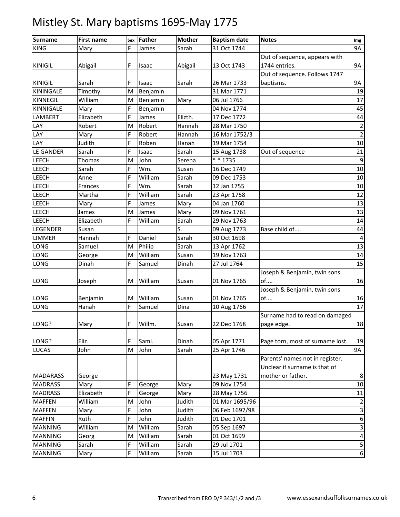| <b>Surname</b>  | <b>First name</b> | Sex | Father   | <b>Mother</b> | <b>Baptism date</b> | <b>Notes</b>                     | Img                       |
|-----------------|-------------------|-----|----------|---------------|---------------------|----------------------------------|---------------------------|
| <b>KING</b>     | Mary              | F   | James    | Sarah         | 31 Oct 1744         |                                  | <b>9A</b>                 |
|                 |                   |     |          |               |                     | Out of sequence, appears with    |                           |
| <b>KINIGIL</b>  | Abigail           | F   | Isaac    | Abigail       | 13 Oct 1743         | 1744 entries.                    | 9A                        |
|                 |                   |     |          |               |                     | Out of sequence. Follows 1747    |                           |
| <b>KINIGIL</b>  | Sarah             | F   | Isaac    | Sarah         | 26 Mar 1733         | baptisms.                        | 9A                        |
| KININGALE       | Timothy           | M   | Benjamin |               | 31 Mar 1771         |                                  | 19                        |
| <b>KINNEGIL</b> | William           | M   | Benjamin | Mary          | 06 Jul 1766         |                                  | 17                        |
| KINNIGALE       | Mary              | F   | Benjamin |               | 04 Nov 1774         |                                  | 45                        |
| LAMBERT         | Elizabeth         | F   | James    | Elizth.       | 17 Dec 1772         |                                  | 44                        |
| LAY             | Robert            | M   | Robert   | Hannah        | 28 Mar 1750         |                                  | $\overline{2}$            |
| LAY             | Mary              | F   | Robert   | Hannah        | 16 Mar 1752/3       |                                  | $\overline{2}$            |
| LAY             | Judith            | F   | Roben    | Hanah         | 19 Mar 1754         |                                  | 10                        |
| LE GANDER       | Sarah             | F   | Isaac    | Sarah         | 15 Aug 1738         | Out of sequence                  | 21                        |
| LEECH           | Thomas            | M   | John     | Serena        | * * 1735            |                                  | 9                         |
| <b>LEECH</b>    | Sarah             | F   | Wm.      | Susan         | 16 Dec 1749         |                                  | 10                        |
| <b>LEECH</b>    | Anne              | F   | William  | Sarah         | 09 Dec 1753         |                                  | 10                        |
| <b>LEECH</b>    | Frances           | F   | Wm.      | Sarah         | 12 Jan 1755         |                                  | 10                        |
| LEECH           | Martha            | F   | William  | Sarah         | 23 Apr 1758         |                                  | 12                        |
| <b>LEECH</b>    | Mary              | F   | James    | Mary          | 04 Jan 1760         |                                  | 13                        |
| <b>LEECH</b>    | James             | M   | James    | Mary          | 09 Nov 1761         |                                  | 13                        |
| <b>LEECH</b>    | Elizabeth         | F   | William  | Sarah         | 29 Nov 1763         |                                  | 14                        |
| LEGENDER        | Susan             |     |          | S.            | 09 Aug 1773         | Base child of                    | 44                        |
| <b>LIMMER</b>   | Hannah            | F   | Daniel   | Sarah         | 30 Oct 1698         |                                  | 4                         |
| LONG            | Samuel            | M   | Philip   | Sarah         | 13 Apr 1762         |                                  | 13                        |
| LONG            | George            | M   | William  | Susan         | 19 Nov 1763         |                                  | 14                        |
| LONG            | Dinah             | F   | Samuel   | Dinah         | 27 Jul 1764         |                                  | 15                        |
|                 |                   |     |          |               |                     | Joseph & Benjamin, twin sons     |                           |
| LONG            | Joseph            | M   | William  | Susan         | 01 Nov 1765         | of                               | 16                        |
|                 |                   |     |          |               |                     | Joseph & Benjamin, twin sons     |                           |
| <b>LONG</b>     | Benjamin          | M   | William  | Susan         | 01 Nov 1765         | of                               | 16                        |
| <b>LONG</b>     | Hanah             | F   | Samuel   | Dina          | 10 Aug 1766         |                                  | 17                        |
|                 |                   |     |          |               |                     | Surname had to read on damaged   |                           |
| LONG?           | Mary              | F   | Willm.   | Susan         | 22 Dec 1768         | page edge.                       | 18                        |
|                 |                   |     |          |               |                     |                                  |                           |
| LONG?           | Eliz.             | F   | Saml.    | Dinah         | 05 Apr 1771         | Page torn, most of surname lost. | 19                        |
| <b>LUCAS</b>    | John              | M   | John     | Sarah         | 25 Apr 1746         |                                  | <b>9A</b>                 |
|                 |                   |     |          |               |                     | Parents' names not in register.  |                           |
|                 |                   |     |          |               |                     | Unclear if surname is that of    |                           |
| <b>MADARASS</b> | George            |     |          |               | 23 May 1731         | mother or father.                | 8                         |
| <b>MADRASS</b>  | Mary              | F   | George   | Mary          | 09 Nov 1754         |                                  | 10                        |
| <b>MADRASS</b>  | Elizabeth         | F   | George   | Mary          | 28 May 1756         |                                  | 11                        |
| <b>MAFFEN</b>   | William           | M   | John     | Judith        | 01 Mar 1695/96      |                                  | $\overline{2}$            |
| <b>MAFFEN</b>   | Mary              | F   | John     | Judith        | 06 Feb 1697/98      |                                  | $\ensuremath{\mathsf{3}}$ |
| <b>MAFFIN</b>   | Ruth              | F   | John     | Judith        | 01 Dec 1701         |                                  | $\boldsymbol{6}$          |
| <b>MANNING</b>  | William           | M   | William  | Sarah         | 05 Sep 1697         |                                  | $\ensuremath{\mathsf{3}}$ |
| <b>MANNING</b>  | Georg             | M   | William  | Sarah         | 01 Oct 1699         |                                  | $\pmb{4}$                 |
| <b>MANNING</b>  | Sarah             | F   | William  | Sarah         | 29 Jul 1701         |                                  | $\sqrt{5}$                |
| <b>MANNING</b>  | Mary              | F   | William  | Sarah         | 15 Jul 1703         |                                  | $6 \overline{6}$          |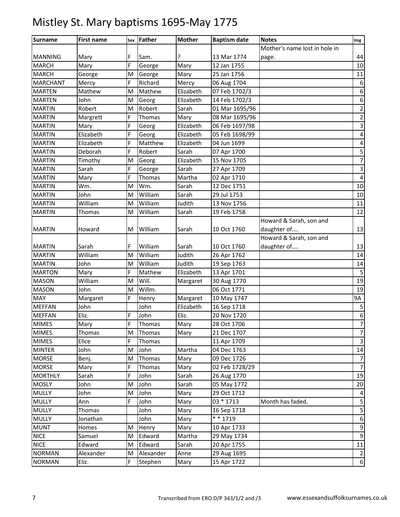| <b>Surname</b>  | <b>First name</b> | Sex | Father    | <b>Mother</b> | <b>Baptism date</b> | <b>Notes</b>                  | Img                              |
|-----------------|-------------------|-----|-----------|---------------|---------------------|-------------------------------|----------------------------------|
|                 |                   |     |           |               |                     | Mother's name lost in hole in |                                  |
| <b>MANNING</b>  | Mary              | F   | Sam.      | ?             | 13 Mar 1774         | page.                         | 44                               |
| <b>MARCH</b>    | Mary              | F   | George    | Mary          | 12 Jan 1755         |                               | 10                               |
| <b>MARCH</b>    | George            | M   | George    | Mary          | 25 Jan 1756         |                               | 11                               |
| <b>MARCHANT</b> | Mercy             | F   | Richard   | Mercy         | 06 Aug 1704         |                               | 6                                |
| <b>MARTEN</b>   | Mathew            | M   | Mathew    | Elizabeth     | 07 Feb 1702/3       |                               | 6                                |
| <b>MARTEN</b>   | John              | M   | Georg     | Elizabeth     | 14 Feb 1702/3       |                               | $\boldsymbol{6}$                 |
| <b>MARTIN</b>   | Robert            | M   | Robert    | Sarah         | 01 Mar 1695/96      |                               | $\overline{\mathbf{c}}$          |
| <b>MARTIN</b>   | Margrett          | F   | Thomas    | Mary          | 08 Mar 1695/96      |                               | $\overline{\mathbf{c}}$          |
| <b>MARTIN</b>   | Mary              | F   | Georg     | Elizabeth     | 06 Feb 1697/98      |                               | $\mathsf 3$                      |
| <b>MARTIN</b>   | Elizabeth         | F   | Georg     | Elizabeth     | 05 Feb 1698/99      |                               | 4                                |
| <b>MARTIN</b>   | Elizabeth         | F   | Matthew   | Elizabeth     | 04 Jun 1699         |                               | 4                                |
| <b>MARTIN</b>   | Deborah           | F   | Robert    | Sarah         | 07 Apr 1700         |                               | 5                                |
| <b>MARTIN</b>   | Timothy           | M   | Georg     | Elizabeth     | 15 Nov 1705         |                               | 7                                |
| <b>MARTIN</b>   | Sarah             | F   | George    | Sarah         | 27 Apr 1709         |                               | $\overline{\mathbf{3}}$          |
| <b>MARTIN</b>   | Mary              | F   | Thomas    | Martha        | 02 Apr 1710         |                               | $\pmb{4}$                        |
| <b>MARTIN</b>   | Wm.               | M   | Wm.       | Sarah         | 12 Dec 1751         |                               | 10                               |
| <b>MARTIN</b>   | John              | M   | William   | Sarah         | 29 Jul 1753         |                               | 10                               |
| <b>MARTIN</b>   | William           | M   | William   | Judith        | 13 Nov 1756         |                               | 11                               |
| <b>MARTIN</b>   | Thomas            | M   | William   | Sarah         | 19 Feb 1758         |                               | 12                               |
|                 |                   |     |           |               |                     | Howard & Sarah, son and       |                                  |
| <b>MARTIN</b>   | Howard            | M   | William   | Sarah         | 10 Oct 1760         | daughter of                   | 13                               |
|                 |                   |     |           |               |                     | Howard & Sarah, son and       |                                  |
| <b>MARTIN</b>   | Sarah             | F   | William   | Sarah         | 10 Oct 1760         | daughter of                   | 13                               |
| <b>MARTIN</b>   | William           | M   | William   | Judith        | 26 Apr 1762         |                               | 14                               |
| <b>MARTIN</b>   | John              | M   | William   | Judith        | 19 Sep 1763         |                               | 14                               |
| <b>MARTON</b>   | Mary              | F   | Mathew    | Elizabeth     | 13 Apr 1701         |                               | $\mathsf S$                      |
| <b>MASON</b>    | William           | M   | Will.     | Margaret      | 30 Aug 1770         |                               | 19                               |
| <b>MASON</b>    | John              | M   | Willm.    |               | 06 Oct 1771         |                               | 19                               |
| <b>MAY</b>      | Margaret          | F   | Henry     | Margaret      | 10 May 1747         |                               | 9Α                               |
| <b>MEFFAN</b>   | John              |     | John      | Elizabeth     | 16 Sep 1718         |                               | 5                                |
| <b>MEFFAN</b>   | Eliz.             | F   | John      | Eliz.         | 20 Nov 1720         |                               | $\begin{array}{c} 6 \end{array}$ |
| <b>MIMES</b>    | Mary              | F   | Thomas    | Mary          | 28 Oct 1706         |                               | $\overline{7}$                   |
| <b>MIMES</b>    | Thomas            | M   | Thomas    | Mary          | 21 Dec 1707         |                               | $\boldsymbol{7}$                 |
| <b>MIMES</b>    | Elice             | F.  | Thomas    |               | 11 Apr 1709         |                               | $\overline{3}$                   |
| <b>MINTER</b>   | John              | M   | John      | Martha        | 04 Dec 1763         |                               | 14                               |
| <b>MORSE</b>    | Benj.             | M   | Thomas    | Mary          | 09 Dec 1726         |                               | $\overline{7}$                   |
| <b>MORSE</b>    | Mary              | F   | Thomas    | Mary          | 02 Feb 1728/29      |                               | $\overline{7}$                   |
| <b>MORTHLY</b>  | Sarah             | F   | John      | Sarah         | 26 Aug 1770         |                               | 19                               |
| <b>MOSLY</b>    | John              | M   | John      | Sarah         | 05 May 1772         |                               | 20                               |
| <b>MULLY</b>    | John              | M   | John      | Mary          | 29 Oct 1712         |                               | 4                                |
| <b>MULLY</b>    | Ann               | F   | John      | Mary          | 03 * 1713           | Month has faded.              | $\mathsf S$                      |
| <b>MULLY</b>    | Thomas            |     | John      | Mary          | 16 Sep 1718         |                               | $\mathsf S$                      |
| <b>MULLY</b>    | Jonathan          |     | John      | Mary          | $* * 1719$          |                               | $\boldsymbol{6}$                 |
| <b>MUNT</b>     | Homes             | M   | Henry     | Mary          | 10 Apr 1733         |                               | $\boldsymbol{9}$                 |
| <b>NICE</b>     | Samuel            | M   | Edward    | Martha        | 29 May 1734         |                               | $\boldsymbol{9}$                 |
| <b>NICE</b>     | Edward            | M   | Edward    | Sarah         | 20 Apr 1755         |                               | $11\,$                           |
| <b>NORMAN</b>   | Alexander         | M   | Alexander | Anne          | 29 Aug 1695         |                               | $\overline{2}$                   |
| <b>NORMAN</b>   | Eliz.             | F   | Stephen   | Mary          | 15 Apr 1722         |                               | $6 \mid$                         |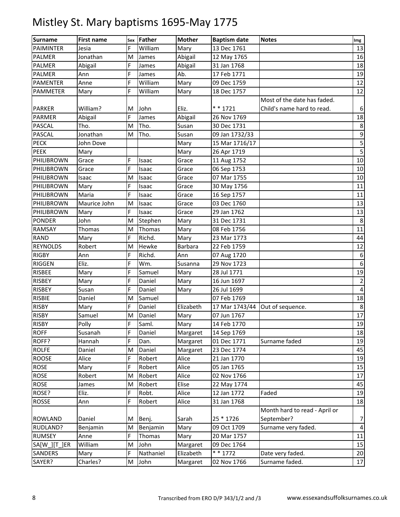| <b>Surname</b>  | <b>First name</b> | Sex | Father    | <b>Mother</b>  | <b>Baptism date</b> | <b>Notes</b>                  | Img                     |
|-----------------|-------------------|-----|-----------|----------------|---------------------|-------------------------------|-------------------------|
| PAIMINTER       | Jesia             | F   | William   | Mary           | 13 Dec 1761         |                               | 13                      |
| PALMER          | Jonathan          | M   | James     | Abigail        | 12 May 1765         |                               | 16                      |
| <b>PALMER</b>   | Abigail           | F   | James     | Abigail        | 31 Jan 1768         |                               | 18                      |
| PALMER          | Ann               | F   | James     | Ab.            | 17 Feb 1771         |                               | 19                      |
| <b>PAMENTER</b> | Anne              | F   | William   | Mary           | 09 Dec 1759         |                               | 12                      |
| PAMMETER        | Mary              | F   | William   | Mary           | 18 Dec 1757         |                               | 12                      |
|                 |                   |     |           |                |                     | Most of the date has faded.   |                         |
| <b>PARKER</b>   | William?          | м   | John      | Eliz.          | $* * 1721$          | Child's name hard to read.    | $\boldsymbol{6}$        |
| PARMER          | Abigail           | F   | James     | Abigail        | 26 Nov 1769         |                               | 18                      |
| <b>PASCAL</b>   | Tho.              | M   | Tho.      | Susan          | 30 Dec 1731         |                               | 8                       |
| <b>PASCAL</b>   | Jonathan          | M   | Tho.      | Susan          | 09 Jan 1732/33      |                               | $\boldsymbol{9}$        |
| <b>PECK</b>     | John Dove         |     |           | Mary           | 15 Mar 1716/17      |                               | $\mathsf S$             |
| <b>PEEK</b>     | Mary              |     |           | Mary           | 26 Apr 1719         |                               | 5                       |
| PHILIBROWN      | Grace             | F   | Isaac     | Grace          | 11 Aug 1752         |                               | 10                      |
| PHILIBROWN      | Grace             | F   | Isaac     | Grace          | 06 Sep 1753         |                               | 10                      |
| PHILIBROWN      | Isaac             | M   | Isaac     | Grace          | 07 Mar 1755         |                               | 10                      |
| PHILIBROWN      | Mary              | F   | Isaac     | Grace          | 30 May 1756         |                               | 11                      |
| PHILIBROWN      | Maria             | F   | Isaac     | Grace          | 16 Sep 1757         |                               | 11                      |
| PHILIBROWN      | Maurice John      | M   | Isaac     | Grace          | 03 Dec 1760         |                               | 13                      |
| PHILIBROWN      | Mary              | F   | Isaac     | Grace          | 29 Jan 1762         |                               | 13                      |
| <b>PONDER</b>   | John              | M   | Stephen   | Mary           | 31 Dec 1731         |                               | 8                       |
| RAMSAY          | Thomas            | M   | Thomas    | Mary           | 08 Feb 1756         |                               | 11                      |
| <b>RAND</b>     | Mary              | F   | Richd.    | Mary           | 23 Mar 1773         |                               | 44                      |
| <b>REYNOLDS</b> | Robert            | M   | Hewke     | <b>Barbara</b> | 22 Feb 1759         |                               | 12                      |
| <b>RIGBY</b>    | Ann               | F   | Richd.    | Ann            | 07 Aug 1720         |                               | $\boldsymbol{6}$        |
| <b>RIGGEN</b>   | Eliz.             | F   | Wm.       | Susanna        | 29 Nov 1723         |                               | $\boldsymbol{6}$        |
| <b>RISBEE</b>   | Mary              | F   | Samuel    | Mary           | 28 Jul 1771         |                               | 19                      |
| <b>RISBEY</b>   | Mary              | F   | Daniel    | Mary           | 16 Jun 1697         |                               | $\overline{2}$          |
| <b>RISBEY</b>   | Susan             | F   | Daniel    | Mary           | 26 Jul 1699         |                               | 4                       |
| <b>RISBIE</b>   | Daniel            | M   | Samuel    |                | 07 Feb 1769         |                               | 18                      |
| <b>RISBY</b>    | Mary              | F   | Daniel    | Elizabeth      | 17 Mar 1743/44      | Out of sequence.              | $\,8\,$                 |
| <b>RISBY</b>    | Samuel            | M   | Daniel    | Mary           | 07 Jun 1767         |                               | 17                      |
| <b>RISBY</b>    | Polly             | F   | Saml.     | Mary           | 14 Feb 1770         |                               | 19                      |
| <b>ROFF</b>     | Susanah           | F   | Daniel    | Margaret       | 14 Sep 1769         |                               | 18                      |
| ROFF?           | Hannah            | F   | Dan.      | Margaret       | 01 Dec 1771         | Surname faded                 | 19                      |
| <b>ROLFE</b>    | Daniel            | M   | Daniel    | Margaret       | 23 Dec 1774         |                               | 45                      |
| <b>ROOSE</b>    | Alice             | F   | Robert    | Alice          | 21 Jan 1770         |                               | 19                      |
| ROSE            | Mary              | F   | Robert    | Alice          | 05 Jan 1765         |                               | 15                      |
| <b>ROSE</b>     | Robert            | M   | Robert    | Alice          | 02 Nov 1766         |                               | 17                      |
| <b>ROSE</b>     | James             | M   | Robert    | Elise          | 22 May 1774         |                               | 45                      |
| ROSE?           | Eliz.             | F   | Robt.     | Alice          | 12 Jan 1772         | Faded                         | 19                      |
| ROSSE           | Ann               | F   | Robert    | Alice          | 31 Jan 1768         |                               | 18                      |
|                 |                   |     |           |                |                     | Month hard to read - April or |                         |
| <b>ROWLAND</b>  | Daniel            | Μ   | Benj.     | Sarah          | 25 * 1726           | September?                    | $\overline{7}$          |
| RUDLAND?        | Benjamin          | M   | Benjamin  | Mary           | 09 Oct 1709         | Surname very faded.           | $\overline{\mathbf{4}}$ |
| <b>RUMSEY</b>   | Anne              | F   | Thomas    | Mary           | 20 Mar 1757         |                               | $11\,$                  |
| SA[W_][T_]ER    | William           | M   | John      | Margaret       | 09 Dec 1764         |                               | 15                      |
| SANDERS         | Mary              | F   | Nathaniel | Elizabeth      | * * 1772            | Date very faded.              | $20\,$                  |
| SAYER?          | Charles?          | М   | John      | Margaret       | 02 Nov 1766         | Surname faded.                | 17                      |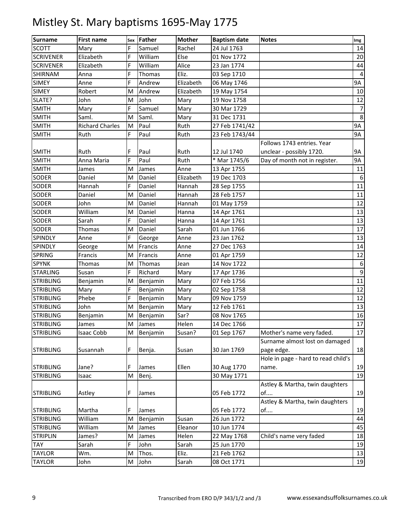| <b>Surname</b>   | <b>First name</b>      | Sex | Father   | <b>Mother</b> | <b>Baptism date</b> | <b>Notes</b>                        | Img       |
|------------------|------------------------|-----|----------|---------------|---------------------|-------------------------------------|-----------|
| <b>SCOTT</b>     | Mary                   | F   | Samuel   | Rachel        | 24 Jul 1763         |                                     | 14        |
| <b>SCRIVENER</b> | Elizabeth              | F   | William  | Else          | 01 Nov 1772         |                                     | 20        |
| <b>SCRIVENER</b> | Elizabeth              | F   | William  | Alice         | 23 Jan 1774         |                                     | 44        |
| <b>SHIRNAM</b>   | Anna                   | F.  | Thomas   | Eliz.         | 03 Sep 1710         |                                     | 4         |
| <b>SIMEY</b>     | Anne                   | F   | Andrew   | Elizabeth     | 06 May 1746         |                                     | <b>9A</b> |
| <b>SIMEY</b>     | Robert                 | M   | Andrew   | Elizabeth     | 19 May 1754         |                                     | 10        |
| SLATE?           | John                   | M   | John     | Mary          | 19 Nov 1758         |                                     | 12        |
| <b>SMITH</b>     | Mary                   | F   | Samuel   | Mary          | 30 Mar 1729         |                                     | 7         |
| <b>SMITH</b>     | Saml.                  | M   | Saml.    | Mary          | 31 Dec 1731         |                                     | 8         |
| <b>SMITH</b>     | <b>Richard Charles</b> | M   | Paul     | Ruth          | 27 Feb 1741/42      |                                     | <b>9A</b> |
| <b>SMITH</b>     | Ruth                   | F   | Paul     | Ruth          | 23 Feb 1743/44      |                                     | <b>9A</b> |
|                  |                        |     |          |               |                     | Follows 1743 entries. Year          |           |
| <b>SMITH</b>     | Ruth                   | F   | Paul     | Ruth          | 12 Jul 1740         | unclear - possibly 1720.            | 9A        |
| <b>SMITH</b>     | Anna Maria             | F.  | Paul     | Ruth          | * Mar 1745/6        | Day of month not in register.       | <b>9A</b> |
| <b>SMITH</b>     | James                  | M   | James    | Anne          | 13 Apr 1755         |                                     | 11        |
| <b>SODER</b>     | Daniel                 | M   | Daniel   | Elizabeth     | 19 Dec 1703         |                                     | 6         |
| <b>SODER</b>     | Hannah                 | F   | Daniel   | Hannah        | 28 Sep 1755         |                                     | 11        |
| <b>SODER</b>     | Daniel                 | M   | Daniel   | Hannah        | 28 Feb 1757         |                                     | 11        |
| <b>SODER</b>     | John                   | M   | Daniel   | Hannah        | 01 May 1759         |                                     | 12        |
| <b>SODER</b>     | William                | M   | Daniel   | Hanna         | 14 Apr 1761         |                                     | 13        |
| <b>SODER</b>     | Sarah                  | F   | Daniel   | Hanna         | 14 Apr 1761         |                                     | 13        |
| <b>SODER</b>     | Thomas                 | M   | Daniel   | Sarah         | 01 Jun 1766         |                                     | 17        |
| <b>SPINDLY</b>   | Anne                   | F.  | George   | Anne          | 23 Jan 1762         |                                     | 13        |
| <b>SPINDLY</b>   | George                 | M   | Francis  | Anne          | 27 Dec 1763         |                                     | 14        |
| <b>SPRING</b>    | Francis                | M   | Francis  | Anne          | 01 Apr 1759         |                                     | 12        |
| <b>SPYNK</b>     | Thomas                 | M   | Thomas   | Jean          | 14 Nov 1722         |                                     | 6         |
| <b>STARLING</b>  | Susan                  | F   | Richard  | Mary          | 17 Apr 1736         |                                     | 9         |
| <b>STRIBLING</b> | Benjamin               | M   | Benjamin | Mary          | 07 Feb 1756         |                                     | 11        |
| <b>STRIBLING</b> | Mary                   | F.  | Benjamin | Mary          | 02 Sep 1758         |                                     | 12        |
| <b>STRIBLING</b> | Phebe                  | F   | Benjamin | Mary          | 09 Nov 1759         |                                     | 12        |
| <b>STRIBLING</b> | John                   | M   | Benjamin | Mary          | 12 Feb 1761         |                                     | 13        |
| <b>STRIBLING</b> | Benjamin               | M   | Benjamin | Sar?          | 08 Nov 1765         |                                     | 16        |
| <b>STRIBLING</b> | James                  | M   | James    | Helen         | 14 Dec 1766         |                                     | 17        |
| <b>STRIBLING</b> | <b>Isaac Cobb</b>      | M   | Benjamin | Susan?        | 01 Sep 1767         | Mother's name very faded.           | 17        |
|                  |                        |     |          |               |                     | Surname almost lost on damaged      |           |
| <b>STRIBLING</b> | Susannah               | F   | Benja.   | Susan         | 30 Jan 1769         | page edge.                          | 18        |
|                  |                        |     |          |               |                     | Hole in page - hard to read child's |           |
| <b>STRIBLING</b> | Jane?                  | F   | James    | Ellen         | 30 Aug 1770         | name.                               | 19        |
| <b>STRIBLING</b> | Isaac                  | M   | Benj.    |               | 30 May 1771         |                                     | 19        |
|                  |                        |     |          |               |                     | Astley & Martha, twin daughters     |           |
| <b>STRIBLING</b> | Astley                 | F   | James    |               | 05 Feb 1772         | of                                  | 19        |
|                  |                        |     |          |               |                     | Astley & Martha, twin daughters     |           |
| <b>STRIBLING</b> | Martha                 | F   | James    |               | 05 Feb 1772         | of                                  | 19        |
| <b>STRIBLING</b> | William                | M   | Benjamin | Susan         | 26 Jun 1772         |                                     | 44        |
| <b>STRIBLING</b> | William                | Μ   | James    | Eleanor       | 10 Jun 1774         |                                     | 45        |
| <b>STRIPLIN</b>  | James?                 | M   | James    | Helen         | 22 May 1768         | Child's name very faded             | 18        |
| <b>TAY</b>       | Sarah                  | F   | John     | Sarah         | 25 Jun 1770         |                                     | 19        |
| <b>TAYLOR</b>    | Wm.                    | M   | Thos.    | Eliz.         | 21 Feb 1762         |                                     | 13        |
| <b>TAYLOR</b>    | John                   | Μ   | John     | Sarah         | 08 Oct 1771         |                                     | 19        |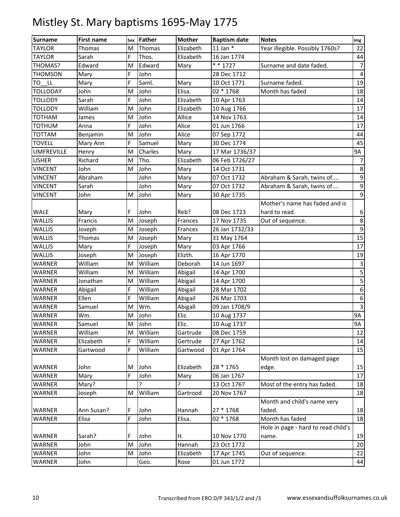| <b>Surname</b>    | <b>First name</b> | Sex | <b>Father</b> | <b>Mother</b> | <b>Baptism date</b> | <b>Notes</b>                        | Img              |
|-------------------|-------------------|-----|---------------|---------------|---------------------|-------------------------------------|------------------|
| <b>TAYLOR</b>     | Thomas            | M   | Thomas        | Elizabeth     | 11 Jan $*$          | Year illegible. Possibly 1760s?     | 22               |
| <b>TAYLOR</b>     | Sarah             | F   | Thos.         | Elizabeth     | 16 Jan 1774         |                                     | 44               |
| THOMAS?           | Edward            | M   | Edward        | Mary          | $* * 1727$          | Surname and date faded.             | $\overline{7}$   |
| <b>THOMSON</b>    | Mary              | F   | John          |               | 28 Dec 1712         |                                     | $\overline{4}$   |
| LL.<br>то         | Mary              | F   | Saml.         | Mary          | 10 Oct 1771         | Surname faded.                      | 19               |
| <b>TOLLODAY</b>   | John              | M   | John          | Elisa.        | 02 * 1768           | Month has faded                     | 18               |
| <b>TOLLODY</b>    | Sarah             | F   | John          | Elizabeth     | 10 Apr 1763         |                                     | 14               |
| <b>TOLLODY</b>    | William           | M   | John          | Elizabeth     | 10 Aug 1766         |                                     | 17               |
| TOTHAM            | James             | M   | John          | Allice        | 14 Nov 1763         |                                     | 14               |
| <b>TOTHUM</b>     | Anna              | F   | John          | Alice         | 01 Jun 1766         |                                     | 17               |
| TOTTAM            | Benjamin          | M   | John          | Alice         | 07 Sep 1772         |                                     | 44               |
| <b>TOVELL</b>     | Mary Ann          | F   | Samuel        | Mary          | 30 Dec 1774         |                                     | 45               |
| <b>UMFREVILLE</b> | Henry             | M   | Charles       | Mary          | 17 Mar 1736/37      |                                     | 9A               |
| <b>USHER</b>      | Richard           | M   | Tho.          | Elizabeth     | 06 Feb 1726/27      |                                     | 7                |
| <b>VINCENT</b>    | John              | M   | John          | Mary          | 14 Oct 1731         |                                     | $\bf 8$          |
| <b>VINCENT</b>    | Abraham           |     | John          | Mary          | 07 Oct 1732         | Abraham & Sarah, twins of           | $\boldsymbol{9}$ |
| <b>VINCENT</b>    | Sarah             |     | John          | Mary          | 07 Oct 1732         | Abraham & Sarah, twins of           | $\boldsymbol{9}$ |
| <b>VINCENT</b>    | John              | M   | John          | Mary          | 30 Apr 1735         |                                     | $\boldsymbol{9}$ |
|                   |                   |     |               |               |                     | Mother's name has faded and is      |                  |
| WALE              | Mary              | F   | John          | Reb?          | 08 Dec 1723         | hard to read.                       | 6                |
| WALLIS            | Francis           | M   | Joseph        | Frances       | 17 Nov 1735         | Out of sequence.                    | 8                |
| WALLIS            | Joseph            | M   | Joseph        | Frances       | 26 Jan 1732/33      |                                     | $\boldsymbol{9}$ |
| WALLIS            | <b>Thomas</b>     | M   | Joseph        | Mary          | 31 May 1764         |                                     | 15               |
| WALLIS            | Mary              | F.  | Joseph        | Mary          | 03 Apr 1766         |                                     | 17               |
| <b>WALLIS</b>     | Joseph            | M   | Joseph        | Elizth.       | 16 Apr 1770         |                                     | 19               |
| WARNER            | William           | M   | William       | Deborah       | 14 Jun 1697         |                                     | $\mathbf{3}$     |
| WARNER            | William           | M   | William       | Abigail       | 14 Apr 1700         |                                     | 5                |
| WARNER            | Jonathan          | M   | William       | Abigail       | 14 Apr 1700         |                                     | 5                |
| WARNER            | Abigail           | F   | William       | Abigail       | 28 Mar 1702         |                                     | 6                |
| <b>WARNER</b>     | Ellen             | F   | William       | Abigail       | 26 Mar 1703         |                                     | $\boldsymbol{6}$ |
| WARNER            | Samuel            | M   | Wm.           | Abigall       | 09 Jan 1708/9       |                                     | $\overline{3}$   |
| WARNER            | Wm.               | M   | John          | Eliz.         | 10 Aug 1737         |                                     | 9A               |
| <b>WARNER</b>     | Samuel            | M   | John          | Eliz.         | 10 Aug 1737         |                                     | 9A               |
| WARNER            | William           | M   | William       | Gartrude      | 08 Dec 1759         |                                     | 12               |
| WARNER            | Elizabeth         | F.  | William       | Gertrude      | 27 Apr 1762         |                                     | $14\,$           |
| WARNER            | Gartwood          | F   | William       | Gartwood      | 01 Apr 1764         |                                     | 15               |
|                   |                   |     |               |               |                     | Month lost on damaged page          |                  |
| WARNER            | John              | M   | John          | Elizabeth     | 28 * 1765           | edge.                               | 15               |
| WARNER            | Mary              | F.  | John          | Mary          | 06 Jan 1767         |                                     | 17               |
| WARNER            | Mary?             |     | Ç             | ŗ             | 13 Oct 1767         | Most of the entry has faded.        | 18               |
| WARNER            | Joseph            | M   | William       | Gartrood      | 20 Nov 1767         |                                     | 18               |
|                   |                   |     |               |               |                     | Month and child's name very         |                  |
| WARNER            | Ann Susan?        | F   | John          | Hannah        | 27 * 1768           | faded.                              | 18               |
| WARNER            | Elisa             | F   | John          | Elisa.        | 02 * 1768           | Month has faded                     | 18               |
|                   |                   |     |               |               |                     | Hole in page - hard to read child's |                  |
| WARNER            | Sarah?            | F   | John          | Н.            | 10 Nov 1770         | name.                               | 19               |
| WARNER            | John              | M   | John          | Hannah        | 23 Oct 1772         |                                     | $20\,$           |
| WARNER            | John              | M   | John          | Elizabeth     | 17 Apr 1745         | Out of sequence.                    | 22               |
| WARNER            | John              |     | Geo.          | Rose          | 01 Jun 1772         |                                     | 44               |